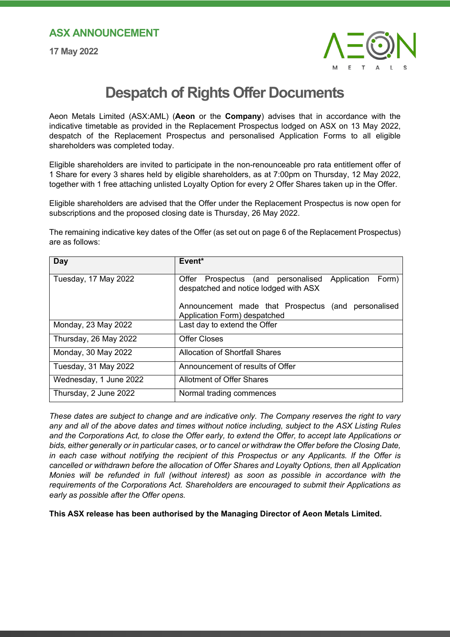## **ASX ANNOUNCEMENT**

**17 May 2022**



## **Despatch of Rights Offer Documents**

Aeon Metals Limited (ASX:AML) (**Aeon** or the **Company**) advises that in accordance with the indicative timetable as provided in the Replacement Prospectus lodged on ASX on 13 May 2022, despatch of the Replacement Prospectus and personalised Application Forms to all eligible shareholders was completed today.

Eligible shareholders are invited to participate in the non-renounceable pro rata entitlement offer of 1 Share for every 3 shares held by eligible shareholders, as at 7:00pm on Thursday, 12 May 2022, together with 1 free attaching unlisted Loyalty Option for every 2 Offer Shares taken up in the Offer.

Eligible shareholders are advised that the Offer under the Replacement Prospectus is now open for subscriptions and the proposed closing date is Thursday, 26 May 2022.

The remaining indicative key dates of the Offer (as set out on page 6 of the Replacement Prospectus) are as follows:

| Day                    | Event*                                                                                           |
|------------------------|--------------------------------------------------------------------------------------------------|
| Tuesday, 17 May 2022   | Offer Prospectus (and personalised<br>Application Form)<br>despatched and notice lodged with ASX |
|                        | Announcement made that Prospectus (and personalised<br>Application Form) despatched              |
| Monday, 23 May 2022    | Last day to extend the Offer                                                                     |
| Thursday, 26 May 2022  | <b>Offer Closes</b>                                                                              |
| Monday, 30 May 2022    | Allocation of Shortfall Shares                                                                   |
| Tuesday, 31 May 2022   | Announcement of results of Offer                                                                 |
| Wednesday, 1 June 2022 | Allotment of Offer Shares                                                                        |
| Thursday, 2 June 2022  | Normal trading commences                                                                         |

*These dates are subject to change and are indicative only. The Company reserves the right to vary any and all of the above dates and times without notice including, subject to the ASX Listing Rules and the Corporations Act, to close the Offer early, to extend the Offer, to accept late Applications or bids, either generally or in particular cases, or to cancel or withdraw the Offer before the Closing Date, in each case without notifying the recipient of this Prospectus or any Applicants. If the Offer is cancelled or withdrawn before the allocation of Offer Shares and Loyalty Options, then all Application Monies will be refunded in full (without interest) as soon as possible in accordance with the requirements of the Corporations Act. Shareholders are encouraged to submit their Applications as early as possible after the Offer opens.*

**This ASX release has been authorised by the Managing Director of Aeon Metals Limited.**